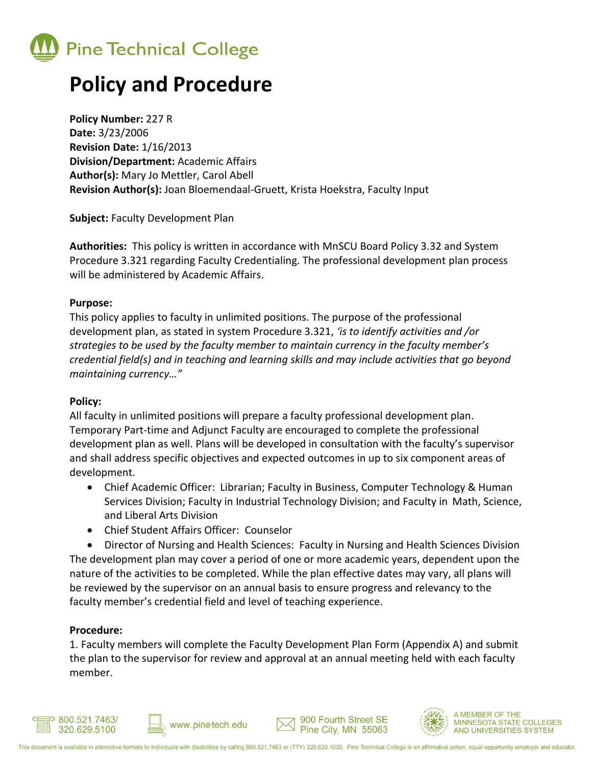

# **Policy and Procedure**

**Policy Number:** 227 R **Date:** 3/23/2006 **Revision Date:** 1/16/2013 **Division/Department:** Academic Affairs **Author(s):** Mary Jo Mettler, Carol Abell **Revision Author(s):** Joan Bloemendaal-Gruett, Krista Hoekstra, Faculty Input

**Subject:** Faculty Development Plan

**Authorities:** This policy is written in accordance with MnSCU Board Policy 3.32 and System Procedure 3.321 regarding Faculty Credentialing. The professional development plan process will be administered by Academic Affairs.

#### **Purpose:**

This policy applies to faculty in unlimited positions. The purpose of the professional development plan, as stated in system Procedure 3.321, *'is to identify activities and /or strategies to be used by the faculty member to maintain currency in the faculty member's credential field(s) and in teaching and learning skills and may include activities that go beyond maintaining currency…"*

## **Policy:**

All faculty in unlimited positions will prepare a faculty professional development plan. Temporary Part-time and Adjunct Faculty are encouraged to complete the professional development plan as well. Plans will be developed in consultation with the faculty's supervisor and shall address specific objectives and expected outcomes in up to six component areas of development.

- Chief Academic Officer: Librarian; Faculty in Business, Computer Technology & Human Services Division; Faculty in Industrial Technology Division; and Faculty in Math, Science, and Liberal Arts Division
- Chief Student Affairs Officer: Counselor

 Director of Nursing and Health Sciences: Faculty in Nursing and Health Sciences Division The development plan may cover a period of one or more academic years, dependent upon the nature of the activities to be completed. While the plan effective dates may vary, all plans will be reviewed by the supervisor on an annual basis to ensure progress and relevancy to the faculty member's credential field and level of teaching experience.

## **Procedure:**

1. Faculty members will complete the Faculty Development Plan Form (Appendix A) and submit the plan to the supervisor for review and approval at an annual meeting held with each faculty member.